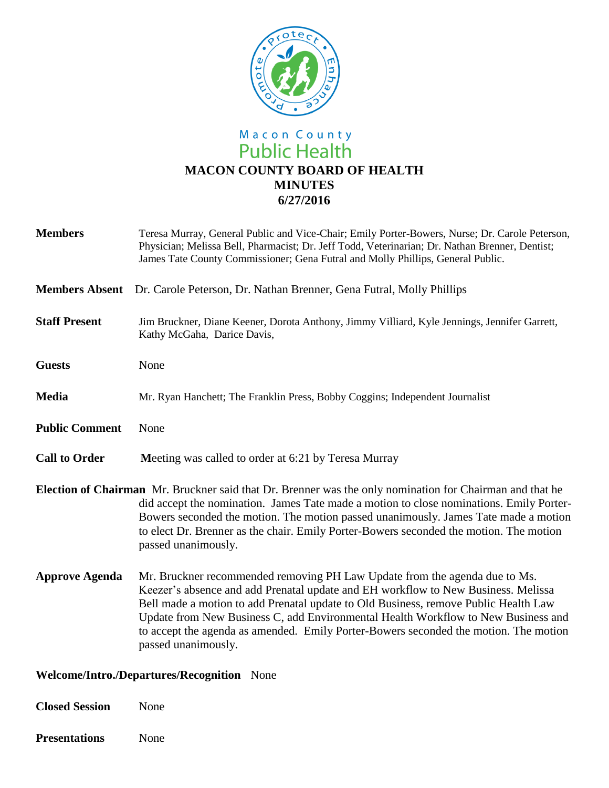

# Macon County<br>Public Health **MACON COUNTY BOARD OF HEALTH MINUTES 6/27/2016**

| <b>Members</b>        | Teresa Murray, General Public and Vice-Chair; Emily Porter-Bowers, Nurse; Dr. Carole Peterson,<br>Physician; Melissa Bell, Pharmacist; Dr. Jeff Todd, Veterinarian; Dr. Nathan Brenner, Dentist;<br>James Tate County Commissioner; Gena Futral and Molly Phillips, General Public.                                                                                                                                                                        |
|-----------------------|------------------------------------------------------------------------------------------------------------------------------------------------------------------------------------------------------------------------------------------------------------------------------------------------------------------------------------------------------------------------------------------------------------------------------------------------------------|
| <b>Members Absent</b> | Dr. Carole Peterson, Dr. Nathan Brenner, Gena Futral, Molly Phillips                                                                                                                                                                                                                                                                                                                                                                                       |
| <b>Staff Present</b>  | Jim Bruckner, Diane Keener, Dorota Anthony, Jimmy Villiard, Kyle Jennings, Jennifer Garrett,<br>Kathy McGaha, Darice Davis,                                                                                                                                                                                                                                                                                                                                |
| <b>Guests</b>         | None                                                                                                                                                                                                                                                                                                                                                                                                                                                       |
| <b>Media</b>          | Mr. Ryan Hanchett; The Franklin Press, Bobby Coggins; Independent Journalist                                                                                                                                                                                                                                                                                                                                                                               |
| <b>Public Comment</b> | None                                                                                                                                                                                                                                                                                                                                                                                                                                                       |
| <b>Call to Order</b>  | Meeting was called to order at 6:21 by Teresa Murray                                                                                                                                                                                                                                                                                                                                                                                                       |
|                       | <b>Election of Chairman</b> Mr. Bruckner said that Dr. Brenner was the only nomination for Chairman and that he<br>did accept the nomination. James Tate made a motion to close nominations. Emily Porter-<br>Bowers seconded the motion. The motion passed unanimously. James Tate made a motion<br>to elect Dr. Brenner as the chair. Emily Porter-Bowers seconded the motion. The motion<br>passed unanimously.                                         |
| <b>Approve Agenda</b> | Mr. Bruckner recommended removing PH Law Update from the agenda due to Ms.<br>Keezer's absence and add Prenatal update and EH workflow to New Business. Melissa<br>Bell made a motion to add Prenatal update to Old Business, remove Public Health Law<br>Update from New Business C, add Environmental Health Workflow to New Business and<br>to accept the agenda as amended. Emily Porter-Bowers seconded the motion. The motion<br>passed unanimously. |

# **Welcome/Intro./Departures/Recognition** None

| <b>Closed Session</b> | None |
|-----------------------|------|
| <b>Presentations</b>  | None |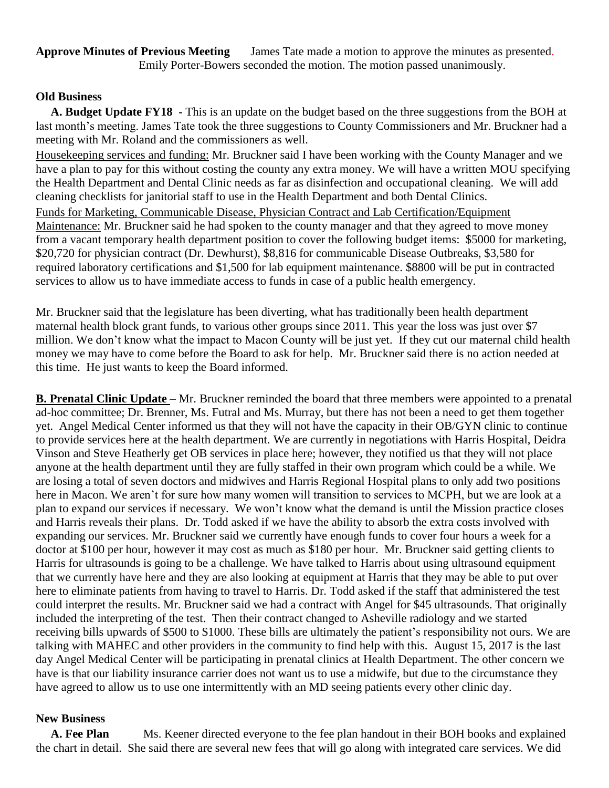**Approve Minutes of Previous Meeting** James Tate made a motion to approve the minutes as presented. Emily Porter-Bowers seconded the motion. The motion passed unanimously.

### **Old Business**

 **A. Budget Update FY18 -** This is an update on the budget based on the three suggestions from the BOH at last month's meeting. James Tate took the three suggestions to County Commissioners and Mr. Bruckner had a meeting with Mr. Roland and the commissioners as well.

Housekeeping services and funding: Mr. Bruckner said I have been working with the County Manager and we have a plan to pay for this without costing the county any extra money. We will have a written MOU specifying the Health Department and Dental Clinic needs as far as disinfection and occupational cleaning. We will add cleaning checklists for janitorial staff to use in the Health Department and both Dental Clinics. Funds for Marketing, Communicable Disease, Physician Contract and Lab Certification/Equipment Maintenance: Mr. Bruckner said he had spoken to the county manager and that they agreed to move money from a vacant temporary health department position to cover the following budget items: \$5000 for marketing, \$20,720 for physician contract (Dr. Dewhurst), \$8,816 for communicable Disease Outbreaks, \$3,580 for required laboratory certifications and \$1,500 for lab equipment maintenance. \$8800 will be put in contracted services to allow us to have immediate access to funds in case of a public health emergency.

Mr. Bruckner said that the legislature has been diverting, what has traditionally been health department maternal health block grant funds, to various other groups since 2011. This year the loss was just over \$7 million. We don't know what the impact to Macon County will be just yet. If they cut our maternal child health money we may have to come before the Board to ask for help. Mr. Bruckner said there is no action needed at this time. He just wants to keep the Board informed.

**B. Prenatal Clinic Update** – Mr. Bruckner reminded the board that three members were appointed to a prenatal ad-hoc committee; Dr. Brenner, Ms. Futral and Ms. Murray, but there has not been a need to get them together yet. Angel Medical Center informed us that they will not have the capacity in their OB/GYN clinic to continue to provide services here at the health department. We are currently in negotiations with Harris Hospital, Deidra Vinson and Steve Heatherly get OB services in place here; however, they notified us that they will not place anyone at the health department until they are fully staffed in their own program which could be a while. We are losing a total of seven doctors and midwives and Harris Regional Hospital plans to only add two positions here in Macon. We aren't for sure how many women will transition to services to MCPH, but we are look at a plan to expand our services if necessary. We won't know what the demand is until the Mission practice closes and Harris reveals their plans. Dr. Todd asked if we have the ability to absorb the extra costs involved with expanding our services. Mr. Bruckner said we currently have enough funds to cover four hours a week for a doctor at \$100 per hour, however it may cost as much as \$180 per hour. Mr. Bruckner said getting clients to Harris for ultrasounds is going to be a challenge. We have talked to Harris about using ultrasound equipment that we currently have here and they are also looking at equipment at Harris that they may be able to put over here to eliminate patients from having to travel to Harris. Dr. Todd asked if the staff that administered the test could interpret the results. Mr. Bruckner said we had a contract with Angel for \$45 ultrasounds. That originally included the interpreting of the test. Then their contract changed to Asheville radiology and we started receiving bills upwards of \$500 to \$1000. These bills are ultimately the patient's responsibility not ours. We are talking with MAHEC and other providers in the community to find help with this. August 15, 2017 is the last day Angel Medical Center will be participating in prenatal clinics at Health Department. The other concern we have is that our liability insurance carrier does not want us to use a midwife, but due to the circumstance they have agreed to allow us to use one intermittently with an MD seeing patients every other clinic day.

#### **New Business**

 **A. Fee Plan** Ms. Keener directed everyone to the fee plan handout in their BOH books and explained the chart in detail. She said there are several new fees that will go along with integrated care services. We did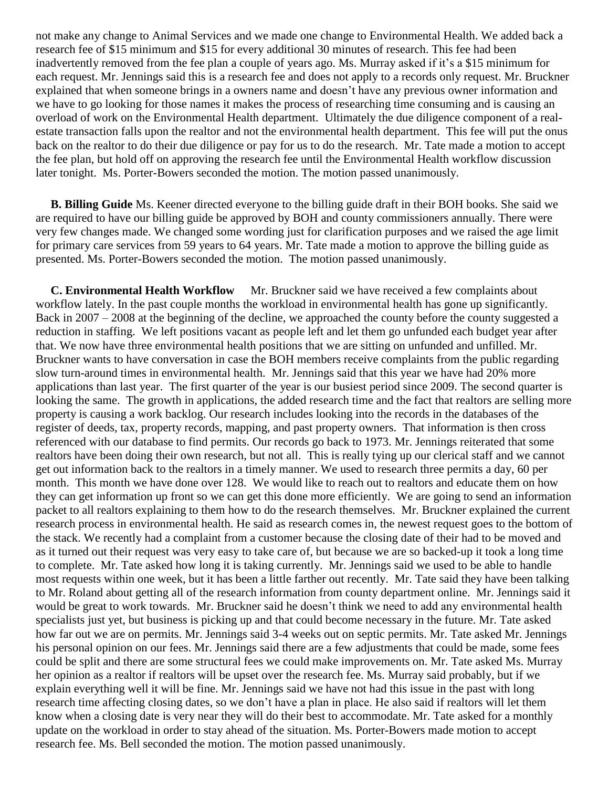not make any change to Animal Services and we made one change to Environmental Health. We added back a research fee of \$15 minimum and \$15 for every additional 30 minutes of research. This fee had been inadvertently removed from the fee plan a couple of years ago. Ms. Murray asked if it's a \$15 minimum for each request. Mr. Jennings said this is a research fee and does not apply to a records only request. Mr. Bruckner explained that when someone brings in a owners name and doesn't have any previous owner information and we have to go looking for those names it makes the process of researching time consuming and is causing an overload of work on the Environmental Health department. Ultimately the due diligence component of a realestate transaction falls upon the realtor and not the environmental health department. This fee will put the onus back on the realtor to do their due diligence or pay for us to do the research. Mr. Tate made a motion to accept the fee plan, but hold off on approving the research fee until the Environmental Health workflow discussion later tonight. Ms. Porter-Bowers seconded the motion. The motion passed unanimously.

 **B. Billing Guide** Ms. Keener directed everyone to the billing guide draft in their BOH books. She said we are required to have our billing guide be approved by BOH and county commissioners annually. There were very few changes made. We changed some wording just for clarification purposes and we raised the age limit for primary care services from 59 years to 64 years. Mr. Tate made a motion to approve the billing guide as presented. Ms. Porter-Bowers seconded the motion. The motion passed unanimously.

**C. Environmental Health Workflow** Mr. Bruckner said we have received a few complaints about workflow lately. In the past couple months the workload in environmental health has gone up significantly. Back in 2007 – 2008 at the beginning of the decline, we approached the county before the county suggested a reduction in staffing. We left positions vacant as people left and let them go unfunded each budget year after that. We now have three environmental health positions that we are sitting on unfunded and unfilled. Mr. Bruckner wants to have conversation in case the BOH members receive complaints from the public regarding slow turn-around times in environmental health. Mr. Jennings said that this year we have had 20% more applications than last year. The first quarter of the year is our busiest period since 2009. The second quarter is looking the same. The growth in applications, the added research time and the fact that realtors are selling more property is causing a work backlog. Our research includes looking into the records in the databases of the register of deeds, tax, property records, mapping, and past property owners. That information is then cross referenced with our database to find permits. Our records go back to 1973. Mr. Jennings reiterated that some realtors have been doing their own research, but not all. This is really tying up our clerical staff and we cannot get out information back to the realtors in a timely manner. We used to research three permits a day, 60 per month. This month we have done over 128. We would like to reach out to realtors and educate them on how they can get information up front so we can get this done more efficiently. We are going to send an information packet to all realtors explaining to them how to do the research themselves. Mr. Bruckner explained the current research process in environmental health. He said as research comes in, the newest request goes to the bottom of the stack. We recently had a complaint from a customer because the closing date of their had to be moved and as it turned out their request was very easy to take care of, but because we are so backed-up it took a long time to complete. Mr. Tate asked how long it is taking currently. Mr. Jennings said we used to be able to handle most requests within one week, but it has been a little farther out recently. Mr. Tate said they have been talking to Mr. Roland about getting all of the research information from county department online. Mr. Jennings said it would be great to work towards. Mr. Bruckner said he doesn't think we need to add any environmental health specialists just yet, but business is picking up and that could become necessary in the future. Mr. Tate asked how far out we are on permits. Mr. Jennings said 3-4 weeks out on septic permits. Mr. Tate asked Mr. Jennings his personal opinion on our fees. Mr. Jennings said there are a few adjustments that could be made, some fees could be split and there are some structural fees we could make improvements on. Mr. Tate asked Ms. Murray her opinion as a realtor if realtors will be upset over the research fee. Ms. Murray said probably, but if we explain everything well it will be fine. Mr. Jennings said we have not had this issue in the past with long research time affecting closing dates, so we don't have a plan in place. He also said if realtors will let them know when a closing date is very near they will do their best to accommodate. Mr. Tate asked for a monthly update on the workload in order to stay ahead of the situation. Ms. Porter-Bowers made motion to accept research fee. Ms. Bell seconded the motion. The motion passed unanimously.